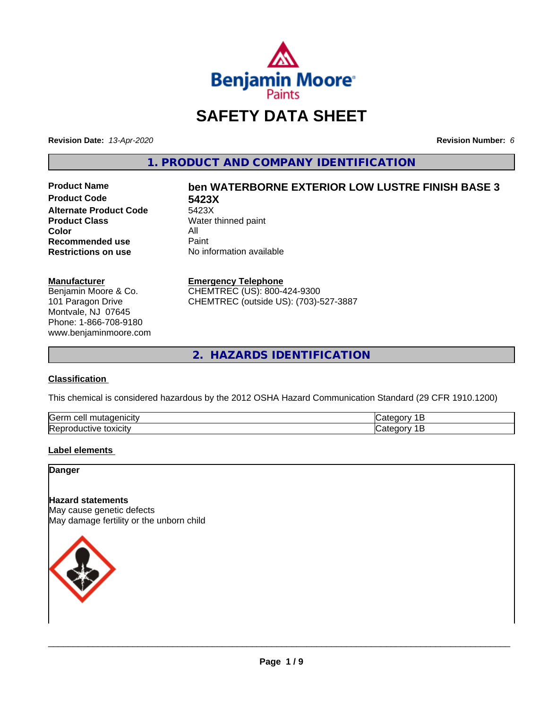

## **SAFETY DATA SHEET**

**Revision Date:** *13-Apr-2020* **Revision Number:** *6*

**1. PRODUCT AND COMPANY IDENTIFICATION**

**Product Code 5423X Alternate Product Code** 5423X<br>**Product Class** Water **Color** All<br> **Recommended use** Paint **Recommended use**<br>Restrictions on use

# **Product Name ben WATERBORNE EXTERIOR LOW LUSTRE FINISH BASE 3**

**Water thinned paint Restrictions on use** No information available

#### **Manufacturer**

Benjamin Moore & Co. 101 Paragon Drive Montvale, NJ 07645 Phone: 1-866-708-9180 www.benjaminmoore.com

#### **Emergency Telephone**

CHEMTREC (US): 800-424-9300 CHEMTREC (outside US): (703)-527-3887

**2. HAZARDS IDENTIFICATION**

#### **Classification**

This chemical is considered hazardous by the 2012 OSHA Hazard Communication Standard (29 CFR 1910.1200)

| <b>Serr</b><br>.<br>.<br>. |  |
|----------------------------|--|
| Rep<br>1 V 6<br>UXIUIL     |  |

#### **Label elements**

**Danger**

#### **Hazard statements**

May cause genetic defects May damage fertility or the unborn child

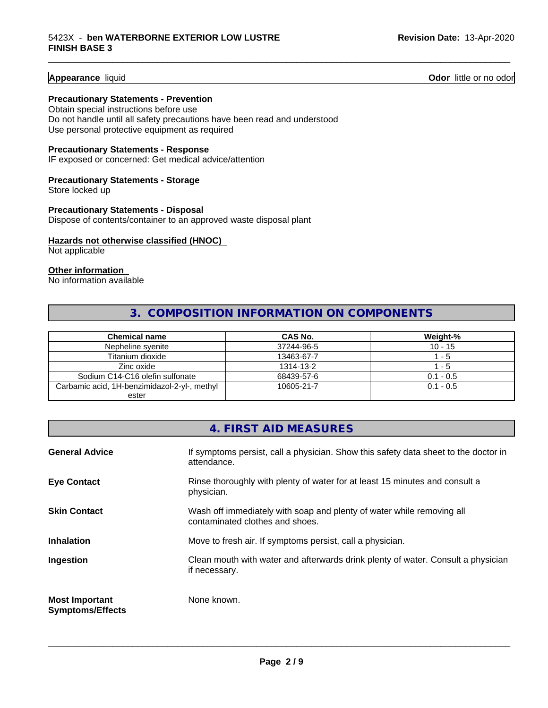**Appearance** liquid **Odor 11** Odor little or no odor

#### **Precautionary Statements - Prevention**

Obtain special instructions before use Do not handle until all safety precautions have been read and understood Use personal protective equipment as required

#### **Precautionary Statements - Response**

IF exposed or concerned: Get medical advice/attention

#### **Precautionary Statements - Storage**

Store locked up

#### **Precautionary Statements - Disposal** Dispose of contents/container to an approved waste disposal plant

#### **Hazards not otherwise classified (HNOC)**

Not applicable

#### **Other information**

No information available

#### **3. COMPOSITION INFORMATION ON COMPONENTS**

\_\_\_\_\_\_\_\_\_\_\_\_\_\_\_\_\_\_\_\_\_\_\_\_\_\_\_\_\_\_\_\_\_\_\_\_\_\_\_\_\_\_\_\_\_\_\_\_\_\_\_\_\_\_\_\_\_\_\_\_\_\_\_\_\_\_\_\_\_\_\_\_\_\_\_\_\_\_\_\_\_\_\_\_\_\_\_\_\_\_\_\_\_

| Chemical name                                | <b>CAS No.</b> | Weight-%    |
|----------------------------------------------|----------------|-------------|
| Nepheline syenite                            | 37244-96-5     | $10 - 15$   |
| Titanium dioxide                             | 13463-67-7     | - 5         |
| Zinc oxide                                   | 1314-13-2      | - 5         |
| Sodium C14-C16 olefin sulfonate              | 68439-57-6     | $0.1 - 0.5$ |
| Carbamic acid, 1H-benzimidazol-2-yl-, methyl | 10605-21-7     | $0.1 - 0.5$ |
| ester                                        |                |             |

|                                                  | 4. FIRST AID MEASURES                                                                                    |
|--------------------------------------------------|----------------------------------------------------------------------------------------------------------|
| <b>General Advice</b>                            | If symptoms persist, call a physician. Show this safety data sheet to the doctor in<br>attendance.       |
| <b>Eye Contact</b>                               | Rinse thoroughly with plenty of water for at least 15 minutes and consult a<br>physician.                |
| <b>Skin Contact</b>                              | Wash off immediately with soap and plenty of water while removing all<br>contaminated clothes and shoes. |
| <b>Inhalation</b>                                | Move to fresh air. If symptoms persist, call a physician.                                                |
| Ingestion                                        | Clean mouth with water and afterwards drink plenty of water. Consult a physician<br>if necessary.        |
| <b>Most Important</b><br><b>Symptoms/Effects</b> | None known.                                                                                              |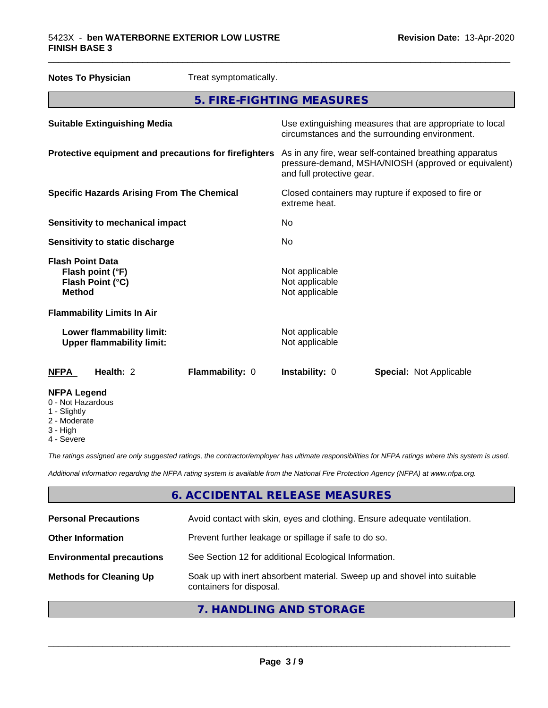| <b>Notes To Physician</b>                                                        | Treat symptomatically. |                                                                      |  |                                                                                                                 |
|----------------------------------------------------------------------------------|------------------------|----------------------------------------------------------------------|--|-----------------------------------------------------------------------------------------------------------------|
| 5. FIRE-FIGHTING MEASURES                                                        |                        |                                                                      |  |                                                                                                                 |
| <b>Suitable Extinguishing Media</b>                                              |                        | circumstances and the surrounding environment.                       |  | Use extinguishing measures that are appropriate to local                                                        |
| Protective equipment and precautions for firefighters                            |                        | and full protective gear.                                            |  | As in any fire, wear self-contained breathing apparatus<br>pressure-demand, MSHA/NIOSH (approved or equivalent) |
| <b>Specific Hazards Arising From The Chemical</b>                                |                        | Closed containers may rupture if exposed to fire or<br>extreme heat. |  |                                                                                                                 |
| <b>Sensitivity to mechanical impact</b>                                          |                        | No                                                                   |  |                                                                                                                 |
| Sensitivity to static discharge                                                  |                        | No                                                                   |  |                                                                                                                 |
| <b>Flash Point Data</b><br>Flash point (°F)<br>Flash Point (°C)<br><b>Method</b> |                        | Not applicable<br>Not applicable<br>Not applicable                   |  |                                                                                                                 |
| <b>Flammability Limits In Air</b>                                                |                        |                                                                      |  |                                                                                                                 |
| Lower flammability limit:<br><b>Upper flammability limit:</b>                    |                        | Not applicable<br>Not applicable                                     |  |                                                                                                                 |
| Health: 2<br><b>NFPA</b>                                                         | Flammability: 0        | Instability: 0                                                       |  | <b>Special: Not Applicable</b>                                                                                  |
| <b>NFPA Legend</b><br>0 - Not Hazardous                                          |                        |                                                                      |  |                                                                                                                 |

\_\_\_\_\_\_\_\_\_\_\_\_\_\_\_\_\_\_\_\_\_\_\_\_\_\_\_\_\_\_\_\_\_\_\_\_\_\_\_\_\_\_\_\_\_\_\_\_\_\_\_\_\_\_\_\_\_\_\_\_\_\_\_\_\_\_\_\_\_\_\_\_\_\_\_\_\_\_\_\_\_\_\_\_\_\_\_\_\_\_\_\_\_

- 1 Slightly
- 2 Moderate
- 3 High
- 4 Severe

*The ratings assigned are only suggested ratings, the contractor/employer has ultimate responsibilities for NFPA ratings where this system is used.*

*Additional information regarding the NFPA rating system is available from the National Fire Protection Agency (NFPA) at www.nfpa.org.*

### **6. ACCIDENTAL RELEASE MEASURES**

| <b>Personal Precautions</b>      | Avoid contact with skin, eyes and clothing. Ensure adequate ventilation.                             |
|----------------------------------|------------------------------------------------------------------------------------------------------|
| <b>Other Information</b>         | Prevent further leakage or spillage if safe to do so.                                                |
| <b>Environmental precautions</b> | See Section 12 for additional Ecological Information.                                                |
| <b>Methods for Cleaning Up</b>   | Soak up with inert absorbent material. Sweep up and shovel into suitable<br>containers for disposal. |
|                                  |                                                                                                      |

#### **7. HANDLING AND STORAGE**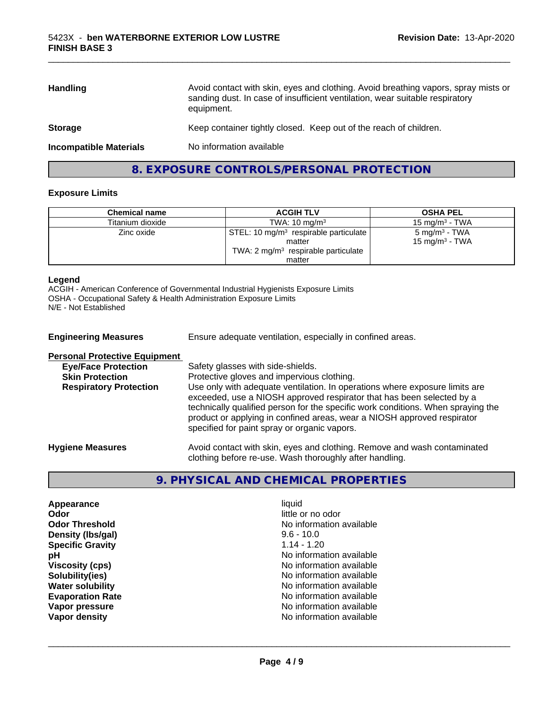| <b>Handling</b>               | Avoid contact with skin, eyes and clothing. Avoid breathing vapors, spray mists or<br>sanding dust. In case of insufficient ventilation, wear suitable respiratory<br>equipment. |
|-------------------------------|----------------------------------------------------------------------------------------------------------------------------------------------------------------------------------|
| <b>Storage</b>                | Keep container tightly closed. Keep out of the reach of children.                                                                                                                |
| <b>Incompatible Materials</b> | No information available                                                                                                                                                         |
|                               |                                                                                                                                                                                  |

\_\_\_\_\_\_\_\_\_\_\_\_\_\_\_\_\_\_\_\_\_\_\_\_\_\_\_\_\_\_\_\_\_\_\_\_\_\_\_\_\_\_\_\_\_\_\_\_\_\_\_\_\_\_\_\_\_\_\_\_\_\_\_\_\_\_\_\_\_\_\_\_\_\_\_\_\_\_\_\_\_\_\_\_\_\_\_\_\_\_\_\_\_

#### **8. EXPOSURE CONTROLS/PERSONAL PROTECTION**

#### **Exposure Limits**

| <b>Chemical name</b> | <b>ACGIH TLV</b>                                  | <b>OSHA PEL</b>           |
|----------------------|---------------------------------------------------|---------------------------|
| Titanium dioxide     | TWA: $10 \text{ mg/m}^3$                          | 15 mg/m $3$ - TWA         |
| Zinc oxide           | STEL: 10 mg/m <sup>3</sup> respirable particulate | $5 \text{ mg/m}^3$ - TWA  |
|                      | matter                                            | $15 \text{ mg/m}^3$ - TWA |
|                      | TWA: $2 \text{ mg/m}^3$ respirable particulate    |                           |
|                      | matter                                            |                           |

#### **Legend**

ACGIH - American Conference of Governmental Industrial Hygienists Exposure Limits OSHA - Occupational Safety & Health Administration Exposure Limits N/E - Not Established

| <b>Engineering Measures</b>          | Ensure adequate ventilation, especially in confined areas.                                                                                                                                                                                                                                                                                                          |
|--------------------------------------|---------------------------------------------------------------------------------------------------------------------------------------------------------------------------------------------------------------------------------------------------------------------------------------------------------------------------------------------------------------------|
| <b>Personal Protective Equipment</b> |                                                                                                                                                                                                                                                                                                                                                                     |
| <b>Eye/Face Protection</b>           | Safety glasses with side-shields.                                                                                                                                                                                                                                                                                                                                   |
| <b>Skin Protection</b>               | Protective gloves and impervious clothing.                                                                                                                                                                                                                                                                                                                          |
| <b>Respiratory Protection</b>        | Use only with adequate ventilation. In operations where exposure limits are<br>exceeded, use a NIOSH approved respirator that has been selected by a<br>technically qualified person for the specific work conditions. When spraying the<br>product or applying in confined areas, wear a NIOSH approved respirator<br>specified for paint spray or organic vapors. |
| <b>Hygiene Measures</b>              | Avoid contact with skin, eyes and clothing. Remove and wash contaminated<br>clothing before re-use. Wash thoroughly after handling.                                                                                                                                                                                                                                 |

#### **9. PHYSICAL AND CHEMICAL PROPERTIES**

| Appearance              |
|-------------------------|
| Odor                    |
| <b>Odor Threshold</b>   |
| Density (Ibs/gal)       |
| <b>Specific Gravity</b> |
| рH                      |
| <b>Viscosity (cps)</b>  |
| Solubility(ies)         |
| <b>Water solubility</b> |
| <b>Evaporation Rate</b> |
| Vapor pressure          |
| Vapor density           |

**Appearance** and the contract of the contract of the contract of the contract of the contract of the contract of the contract of the contract of the contract of the contract of the contract of the contract of the contract little or no odor **No information available Density (lbs/gal)** 9.6 - 10.0 **Specific Gravity** 1.14 - 1.20 **No information available Viscosity (cps)** No information available **No information available No information available Evaporation Rate** No information available **No information available No information available**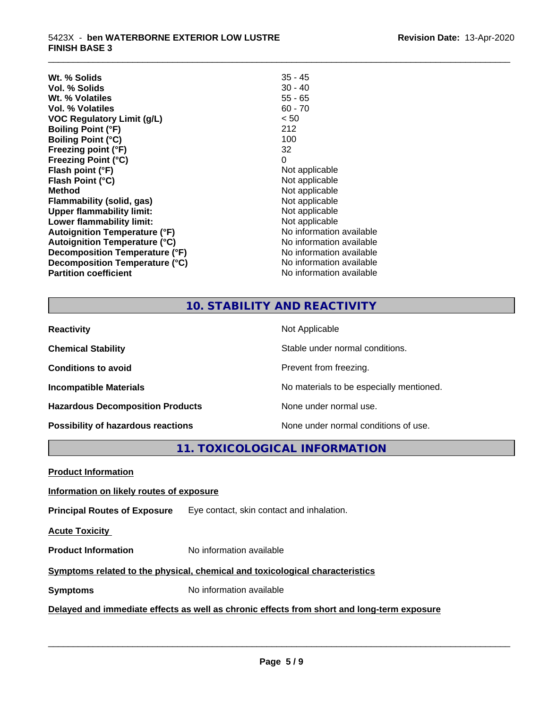| Wt. % Solids                         | $35 - 45$                |
|--------------------------------------|--------------------------|
| Vol. % Solids                        | $30 - 40$                |
| Wt. % Volatiles                      | $55 - 65$                |
| Vol. % Volatiles                     | $60 - 70$                |
| <b>VOC Regulatory Limit (g/L)</b>    | < 50                     |
| <b>Boiling Point (°F)</b>            | 212                      |
| <b>Boiling Point (°C)</b>            | 100                      |
| Freezing point (°F)                  | 32                       |
| <b>Freezing Point (°C)</b>           | 0                        |
| Flash point (°F)                     | Not applicable           |
| Flash Point (°C)                     | Not applicable           |
| <b>Method</b>                        | Not applicable           |
| Flammability (solid, gas)            | Not applicable           |
| <b>Upper flammability limit:</b>     | Not applicable           |
| Lower flammability limit:            | Not applicable           |
| Autoignition Temperature (°F)        | No information available |
| <b>Autoignition Temperature (°C)</b> | No information available |
| Decomposition Temperature (°F)       | No information available |
| Decomposition Temperature (°C)       | No information available |
| <b>Partition coefficient</b>         | No information available |
|                                      |                          |

## **10. STABILITY AND REACTIVITY**

\_\_\_\_\_\_\_\_\_\_\_\_\_\_\_\_\_\_\_\_\_\_\_\_\_\_\_\_\_\_\_\_\_\_\_\_\_\_\_\_\_\_\_\_\_\_\_\_\_\_\_\_\_\_\_\_\_\_\_\_\_\_\_\_\_\_\_\_\_\_\_\_\_\_\_\_\_\_\_\_\_\_\_\_\_\_\_\_\_\_\_\_\_

| <b>Reactivity</b>                       | Not Applicable                           |
|-----------------------------------------|------------------------------------------|
| <b>Chemical Stability</b>               | Stable under normal conditions.          |
| <b>Conditions to avoid</b>              | Prevent from freezing.                   |
| <b>Incompatible Materials</b>           | No materials to be especially mentioned. |
| <b>Hazardous Decomposition Products</b> | None under normal use.                   |
| Possibility of hazardous reactions      | None under normal conditions of use.     |

**11. TOXICOLOGICAL INFORMATION**

**Product Information**

#### **Information on likely routes of exposure**

**Principal Routes of Exposure** Eye contact, skin contact and inhalation.

**Acute Toxicity** 

**Product Information** No information available

#### **Symptoms related to the physical,chemical and toxicological characteristics**

**Symptoms** No information available

#### **Delayed and immediate effects as well as chronic effects from short and long-term exposure**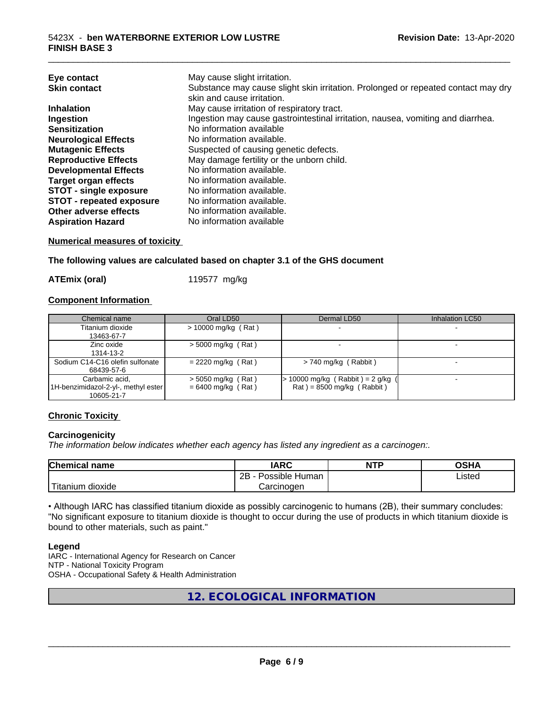| May cause slight irritation.<br>Eye contact<br>Substance may cause slight skin irritation. Prolonged or repeated contact may dry<br><b>Skin contact</b> |  |
|---------------------------------------------------------------------------------------------------------------------------------------------------------|--|
| skin and cause irritation.                                                                                                                              |  |
|                                                                                                                                                         |  |
| May cause irritation of respiratory tract.<br><b>Inhalation</b>                                                                                         |  |
| Ingestion may cause gastrointestinal irritation, nausea, vomiting and diarrhea.<br>Ingestion                                                            |  |
| No information available<br><b>Sensitization</b>                                                                                                        |  |
| No information available.<br><b>Neurological Effects</b>                                                                                                |  |
| Suspected of causing genetic defects.<br><b>Mutagenic Effects</b>                                                                                       |  |
| May damage fertility or the unborn child.<br><b>Reproductive Effects</b>                                                                                |  |
| No information available.<br><b>Developmental Effects</b>                                                                                               |  |
| No information available.<br><b>Target organ effects</b>                                                                                                |  |
| <b>STOT - single exposure</b><br>No information available.                                                                                              |  |
| <b>STOT - repeated exposure</b><br>No information available.                                                                                            |  |
| Other adverse effects<br>No information available.                                                                                                      |  |
| No information available<br><b>Aspiration Hazard</b>                                                                                                    |  |

#### **Numerical measures of toxicity**

**The following values are calculated based on chapter 3.1 of the GHS document**

**ATEmix (oral)** 119577 mg/kg

#### **Component Information**

| Chemical name                         | Oral LD50             | Dermal LD50                         | Inhalation LC50 |
|---------------------------------------|-----------------------|-------------------------------------|-----------------|
| Titanium dioxide                      | $> 10000$ mg/kg (Rat) |                                     |                 |
| 13463-67-7                            |                       |                                     |                 |
| Zinc oxide                            | $> 5000$ mg/kg (Rat)  |                                     |                 |
| 1314-13-2                             |                       |                                     |                 |
| Sodium C14-C16 olefin sulfonate       | $= 2220$ mg/kg (Rat)  | $> 740$ mg/kg (Rabbit)              |                 |
| 68439-57-6                            |                       |                                     |                 |
| Carbamic acid.                        | $>$ 5050 mg/kg (Rat)  | $> 10000$ mg/kg (Rabbit) = 2 g/kg ( |                 |
| [1H-benzimidazol-2-yl-, methyl ester] | $= 6400$ mg/kg (Rat)  | $Rat$ = 8500 mg/kg (Rabbit)         |                 |
| 10605-21-7                            |                       |                                     |                 |

#### **Chronic Toxicity**

#### **Carcinogenicity**

*The information below indicateswhether each agency has listed any ingredient as a carcinogen:.*

| <b>Chemical</b><br>name            | <b>IARC</b>                                | <b>NTP</b> | ດເ⊔າ<br>∪אח |
|------------------------------------|--------------------------------------------|------------|-------------|
|                                    | .<br>クロ<br>Human<br>Possible<br><u>_ _</u> |            | ∟isted      |
| .<br><br>dioxide<br><b>itanium</b> | Carcinogen                                 |            |             |

• Although IARC has classified titanium dioxide as possibly carcinogenic to humans (2B), their summary concludes: "No significant exposure to titanium dioxide is thought to occur during the use of products in which titanium dioxide is bound to other materials, such as paint."

#### **Legend**

IARC - International Agency for Research on Cancer NTP - National Toxicity Program OSHA - Occupational Safety & Health Administration

**12. ECOLOGICAL INFORMATION**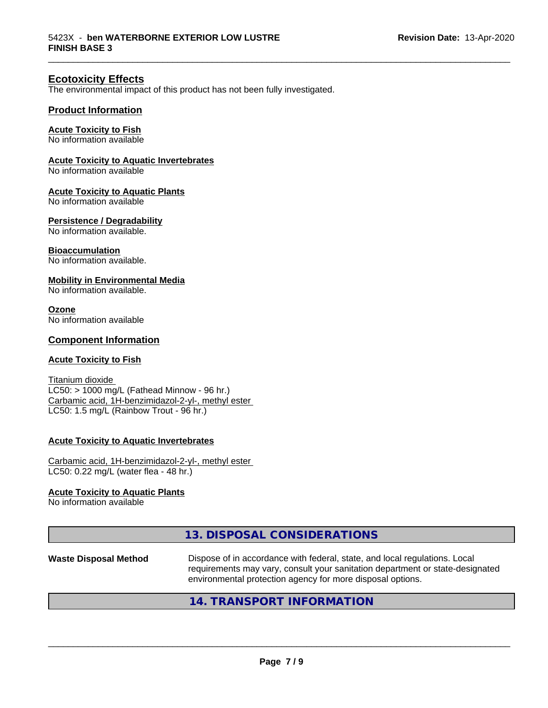#### **Ecotoxicity Effects**

The environmental impact of this product has not been fully investigated.

#### **Product Information**

#### **Acute Toxicity to Fish**

No information available

#### **Acute Toxicity to Aquatic Invertebrates**

No information available

#### **Acute Toxicity to Aquatic Plants**

No information available

#### **Persistence / Degradability**

No information available.

#### **Bioaccumulation**

No information available.

#### **Mobility in Environmental Media**

No information available.

#### **Ozone**

No information available

#### **Component Information**

#### **Acute Toxicity to Fish**

Titanium dioxide  $LC50:$  > 1000 mg/L (Fathead Minnow - 96 hr.) Carbamic acid, 1H-benzimidazol-2-yl-, methyl ester LC50: 1.5 mg/L (Rainbow Trout - 96 hr.)

#### **Acute Toxicity to Aquatic Invertebrates**

Carbamic acid, 1H-benzimidazol-2-yl-, methyl ester LC50: 0.22 mg/L (water flea - 48 hr.)

#### **Acute Toxicity to Aquatic Plants**

No information available

#### **13. DISPOSAL CONSIDERATIONS**

**Waste Disposal Method** Dispose of in accordance with federal, state, and local regulations. Local requirements may vary, consult your sanitation department or state-designated environmental protection agency for more disposal options.

 $\overline{\phantom{a}}$  ,  $\overline{\phantom{a}}$  ,  $\overline{\phantom{a}}$  ,  $\overline{\phantom{a}}$  ,  $\overline{\phantom{a}}$  ,  $\overline{\phantom{a}}$  ,  $\overline{\phantom{a}}$  ,  $\overline{\phantom{a}}$  ,  $\overline{\phantom{a}}$  ,  $\overline{\phantom{a}}$  ,  $\overline{\phantom{a}}$  ,  $\overline{\phantom{a}}$  ,  $\overline{\phantom{a}}$  ,  $\overline{\phantom{a}}$  ,  $\overline{\phantom{a}}$  ,  $\overline{\phantom{a}}$ 

\_\_\_\_\_\_\_\_\_\_\_\_\_\_\_\_\_\_\_\_\_\_\_\_\_\_\_\_\_\_\_\_\_\_\_\_\_\_\_\_\_\_\_\_\_\_\_\_\_\_\_\_\_\_\_\_\_\_\_\_\_\_\_\_\_\_\_\_\_\_\_\_\_\_\_\_\_\_\_\_\_\_\_\_\_\_\_\_\_\_\_\_\_

#### **14. TRANSPORT INFORMATION**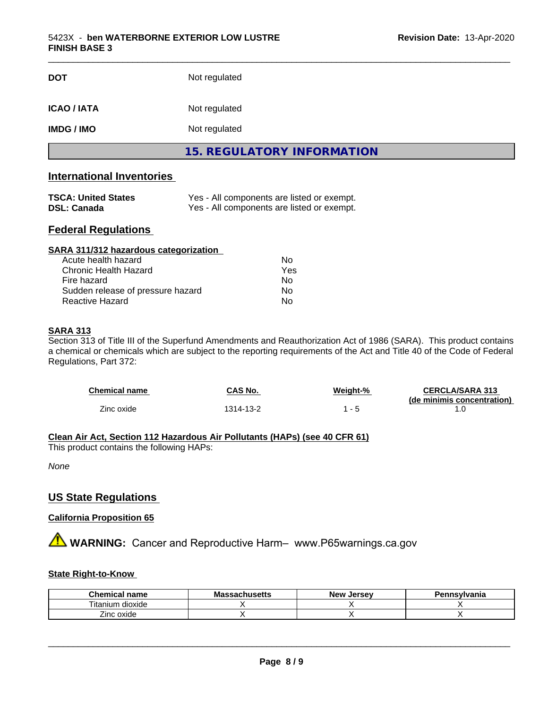| <b>DOT</b>         | Not regulated                     |  |
|--------------------|-----------------------------------|--|
| <b>ICAO / IATA</b> | Not regulated                     |  |
| <b>IMDG / IMO</b>  | Not regulated                     |  |
|                    | <b>15. REGULATORY INFORMATION</b> |  |

#### **International Inventories**

| <b>TSCA: United States</b> | Yes - All components are listed or exempt. |
|----------------------------|--------------------------------------------|
| DSL: Canada                | Yes - All components are listed or exempt. |

#### **Federal Regulations**

| SARA 311/312 hazardous categorization |     |  |
|---------------------------------------|-----|--|
| Acute health hazard                   | Nο  |  |
| Chronic Health Hazard                 | Yes |  |
| Fire hazard                           | Nο  |  |
| Sudden release of pressure hazard     | Nο  |  |
| Reactive Hazard                       | No  |  |

#### **SARA 313**

Section 313 of Title III of the Superfund Amendments and Reauthorization Act of 1986 (SARA). This product contains a chemical or chemicals which are subject to the reporting requirements of the Act and Title 40 of the Code of Federal Regulations, Part 372:

| Chemical name | CAS No.  | Weight-% | <b>CERCLA/SARA 313</b><br>(de minimis concentration) |
|---------------|----------|----------|------------------------------------------------------|
| Zinc oxide    | 314-13-2 | - 5      |                                                      |

#### **Clean Air Act,Section 112 Hazardous Air Pollutants (HAPs) (see 40 CFR 61)**

This product contains the following HAPs:

*None*

#### **US State Regulations**

#### **California Proposition 65**

**A** WARNING: Cancer and Reproductive Harm– www.P65warnings.ca.gov

#### **State Right-to-Know**

| Chemical<br>name     | ،۱۱eatt<br>ма<br>…ad∪⊓us <del>c</del> us | . Jersev<br><b>New</b> | <b>`nsvlvania</b> |
|----------------------|------------------------------------------|------------------------|-------------------|
| litanium<br>dioxide  |                                          |                        |                   |
| $\! -$<br>Zinc oxide |                                          |                        |                   |